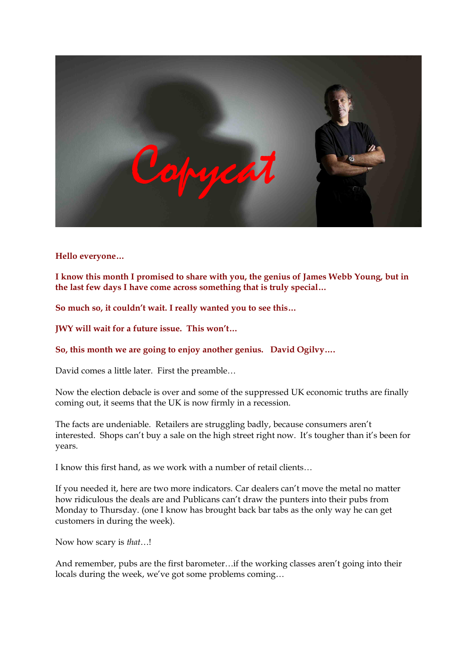

**Hello everyone…** 

**I know this month I promised to share with you, the genius of James Webb Young, but in the last few days I have come across something that is truly special…** 

**So much so, it couldn't wait. I really wanted you to see this…** 

**JWY will wait for a future issue. This won't…** 

**So, this month we are going to enjoy another genius. David Ogilvy….**

David comes a little later. First the preamble…

Now the election debacle is over and some of the suppressed UK economic truths are finally coming out, it seems that the UK is now firmly in a recession.

The facts are undeniable. Retailers are struggling badly, because consumers aren't interested. Shops can't buy a sale on the high street right now. It's tougher than it's been for years.

I know this first hand, as we work with a number of retail clients…

If you needed it, here are two more indicators. Car dealers can't move the metal no matter how ridiculous the deals are and Publicans can't draw the punters into their pubs from Monday to Thursday. (one I know has brought back bar tabs as the only way he can get customers in during the week).

Now how scary is *that*…!

And remember, pubs are the first barometer…if the working classes aren't going into their locals during the week, we've got some problems coming…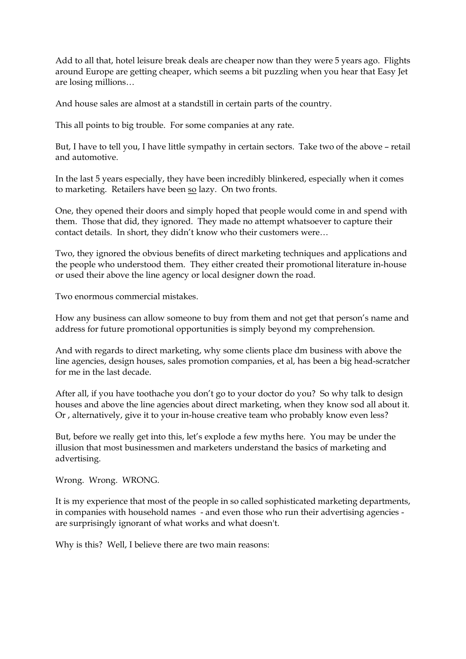Add to all that, hotel leisure break deals are cheaper now than they were 5 years ago. Flights around Europe are getting cheaper, which seems a bit puzzling when you hear that Easy Jet are losing millions…

And house sales are almost at a standstill in certain parts of the country.

This all points to big trouble. For some companies at any rate.

But, I have to tell you, I have little sympathy in certain sectors. Take two of the above – retail and automotive.

In the last 5 years especially, they have been incredibly blinkered, especially when it comes to marketing. Retailers have been so lazy. On two fronts.

One, they opened their doors and simply hoped that people would come in and spend with them. Those that did, they ignored. They made no attempt whatsoever to capture their contact details. In short, they didn't know who their customers were…

Two, they ignored the obvious benefits of direct marketing techniques and applications and the people who understood them. They either created their promotional literature in-house or used their above the line agency or local designer down the road.

Two enormous commercial mistakes.

How any business can allow someone to buy from them and not get that person's name and address for future promotional opportunities is simply beyond my comprehension.

And with regards to direct marketing, why some clients place dm business with above the line agencies, design houses, sales promotion companies, et al, has been a big head-scratcher for me in the last decade.

After all, if you have toothache you don't go to your doctor do you? So why talk to design houses and above the line agencies about direct marketing, when they know sod all about it. Or, alternatively, give it to your in-house creative team who probably know even less?

But, before we really get into this, let's explode a few myths here. You may be under the illusion that most businessmen and marketers understand the basics of marketing and advertising.

Wrong. Wrong. WRONG.

It is my experience that most of the people in so called sophisticated marketing departments, in companies with household names - and even those who run their advertising agencies are surprisingly ignorant of what works and what doesn't.

Why is this? Well, I believe there are two main reasons: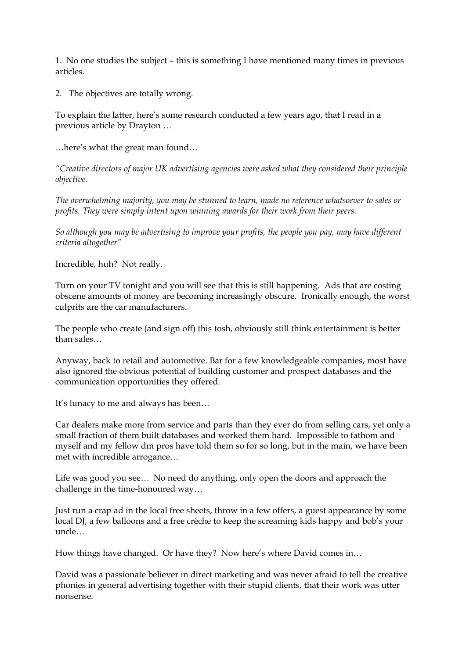1. No one studies the subject – this is something I have mentioned many times in previous articles.

2. The objectives are totally wrong.

To explain the latter, here's some research conducted a few years ago, that I read in a previous article by Drayton … …here's what the great man found…

*"Creative directors of major UK advertising agencies were asked what they considered their principle objective.*

*The overwhelming majority, you may be stunned to learn, made no reference whatsoever to sales or profits. They were simply intent upon winning awards for their work from their peers.*

*So although you may be advertising to improve your profits, the people you pay, may have different criteria altogether"*

Incredible, huh? Not really.

Turn on your TV tonight and you will see that this is still happening. Ads that are costing obscene amounts of money are becoming increasingly obscure. Ironically enough, the worst culprits are the car manufacturers.

The people who create (and sign off) this tosh, obviously still think entertainment is better than sales…

Anyway, back to retail and automotive. Bar for a few knowledgeable companies, most have also ignored the obvious potential of building customer and prospect databases and the communication opportunities they offered.

It's lunacy to me and always has been…

Car dealers make more from service and parts than they ever do from selling cars, yet only a small fraction of them built databases and worked them hard. Impossible to fathom and myself and my fellow dm pros have told them so for so long, but in the main, we have been met with incredible arrogance…

Life was good you see… No need do anything, only open the doors and approach the challenge in the time-honoured way...

Just run a crap ad in the local free sheets, throw in a few offers, a guest appearance by some local DJ, a few balloons and a free crèche to keep the screaming kids happy and bob's your uncle…

How things have changed. Or have they? Now here's where David comes in…

David was a passionate believer in direct marketing and was never afraid to tell the creative phonies in general advertising together with their stupid clients, that their work was utter nonsense.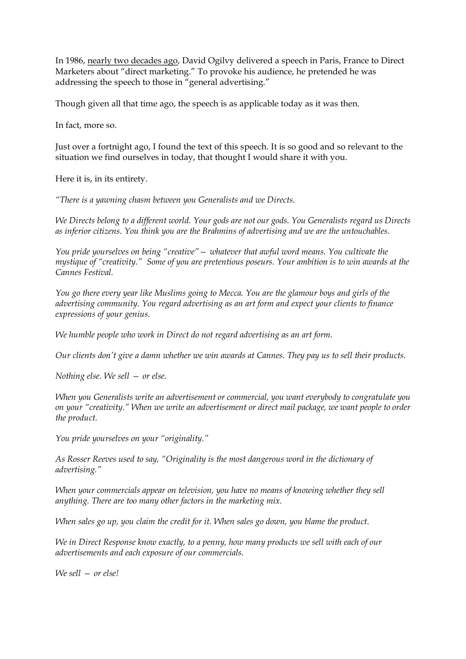In 1986, nearly two decades ago, David Ogilvy delivered a speech in Paris, France to Direct Marketers about "direct marketing." To provoke his audience, he pretended he was addressing the speech to those in "general advertising."

Though given all that time ago, the speech is as applicable today as it was then.

In fact, more so.

Just over a fortnight ago, I found the text of this speech. It is so good and so relevant to the situation we find ourselves in today, that thought I would share it with you.

Here it is, in its entirety.

*"There is a yawning chasm between you Generalists and we Directs.*

*We Directs belong to a different world. Your gods are not our gods. You Generalists regard us Directs as inferior citizens. You think you are the Brahmins of advertising and we are the untouchables.*

*You pride yourselves on being "creative"— whatever that awful word means. You cultivate the mystique of "creativity." Some of you are pretentious poseurs. Your ambition is to win awards at the Cannes Festival.*

*You go there every year like Muslims going to Mecca. You are the glamour boys and girls of the advertising community. You regard advertising as an art form and expect your clients to finance expressions of your genius.*

*We humble people who work in Direct do not regard advertising as an art form.*

*Our clients don't give a damn whether we win awards at Cannes. They pay us to sell their products.*

*Nothing else. We sell — or else.*

*When you Generalists write an advertisement or commercial, you want everybody to congratulate you on your "creativity." When we write an advertisement or direct mail package, we want people to order the product.*

*You pride yourselves on your "originality."* 

*As Rosser Reeves used to say, "Originality is the most dangerous word in the dictionary of advertising."* 

*When your commercials appear on television, you have no means of knowing whether they sell anything. There are too many other factors in the marketing mix.*

*When sales go up, you claim the credit for it. When sales go down, you blame the product.*

*We in Direct Response know exactly, to a penny, how many products we sell with each of our advertisements and each exposure of our commercials.*

*We sell — or else!*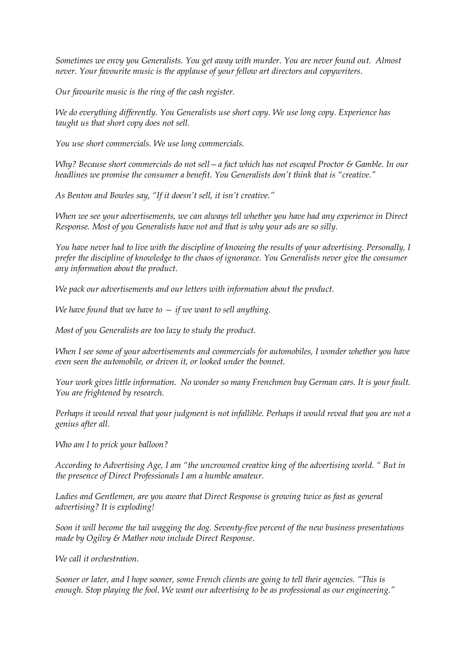*Sometimes we envy you Generalists. You get away with murder. You are never found out. Almost never. Your favourite music is the applause of your fellow art directors and copywriters.*

*Our favourite music is the ring of the cash register.*

*We do everything differently. You Generalists use short copy. We use long copy. Experience has taught us that short copy does not sell.*

*You use short commercials. We use long commercials.*

*Why? Because short commercials do not sell—a fact which has not escaped Proctor & Gamble. In our headlines we promise the consumer a benefit. You Generalists don't think that is "creative."* 

*As Benton and Bowles say, "If it doesn't sell, it isn't creative."* 

*When we see your advertisements, we can always tell whether you have had any experience in Direct Response. Most of you Generalists have not and that is why your ads are so silly.*

*You have never had to live with the discipline of knowing the results of your advertising. Personally, I prefer the discipline of knowledge to the chaos of ignorance. You Generalists never give the consumer any information about the product.*

*We pack our advertisements and our letters with information about the product.*

*We have found that we have to — if we want to sell anything.*

*Most of you Generalists are too lazy to study the product.*

*When I see some of your advertisements and commercials for automobiles, I wonder whether you have even seen the automobile, or driven it, or looked under the bonnet.* 

*Your work gives little information. No wonder so many Frenchmen buy German cars. It is your fault. You are frightened by research.*

*Perhaps it would reveal that your judgment is not infallible. Perhaps it would reveal that you are not a genius after all.*

*Who am I to prick your balloon?* 

*According to Advertising Age, I am "the uncrowned creative king of the advertising world. " But in the presence of Direct Professionals I am a humble amateur.*

*Ladies and Gentlemen, are you aware that Direct Response is growing twice as fast as general advertising? It is exploding!*

*Soon it will become the tail wagging the dog. Seventyfive percent of the new business presentations made by Ogilvy & Mather now include Direct Response.*

*We call it orchestration.*

*Sooner or later, and I hope sooner, some French clients are going to tell their agencies. "This is enough. Stop playing the fool. We want our advertising to be as professional as our engineering."*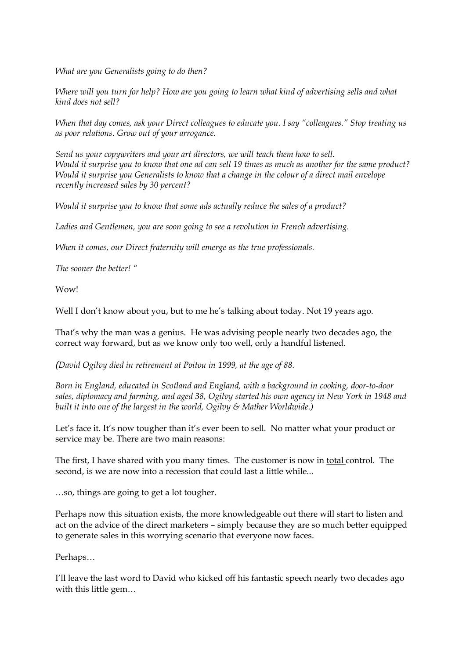*What are you Generalists going to do then?* 

*Where will you turn for help? How are you going to learn what kind of advertising sells and what kind does not sell?* 

*When that day comes, ask your Direct colleagues to educate you. I say "colleagues." Stop treating us as poor relations. Grow out of your arrogance.*

*Send us your copywriters and your art directors, we will teach them how to sell. Would it surprise you to know that one ad can sell 19 times as much as another for the same product? Would it surprise you Generalists to know that a change in the colour of a direct mail envelope recently increased sales by 30 percent?* 

*Would it surprise you to know that some ads actually reduce the sales of a product?* 

*Ladies and Gentlemen, you are soon going to see a revolution in French advertising.*

*When it comes, our Direct fraternity will emerge as the true professionals.*

*The sooner the better! "*

Wow!

Well I don't know about you, but to me he's talking about today. Not 19 years ago.

That's why the man was a genius. He was advising people nearly two decades ago, the correct way forward, but as we know only too well, only a handful listened.

*(David Ogilvy died in retirement at Poitou in 1999, at the age of 88.*

*Born* in *England, educated in Scotland and England, with a background in cooking, door-to-door sales, diplomacy and farming, and aged 38, Ogilvy started his own agency in New York in 1948 and built it into one of the largest in the world, Ogilvy & Mather Worldwide.)*

Let's face it. It's now tougher than it's ever been to sell. No matter what your product or service may be. There are two main reasons:

The first, I have shared with you many times. The customer is now in total control. The second, is we are now into a recession that could last a little while...

…so, things are going to get a lot tougher.

Perhaps now this situation exists, the more knowledgeable out there will start to listen and act on the advice of the direct marketers – simply because they are so much better equipped to generate sales in this worrying scenario that everyone now faces.

Perhaps…

I'll leave the last word to David who kicked off his fantastic speech nearly two decades ago with this little gem…